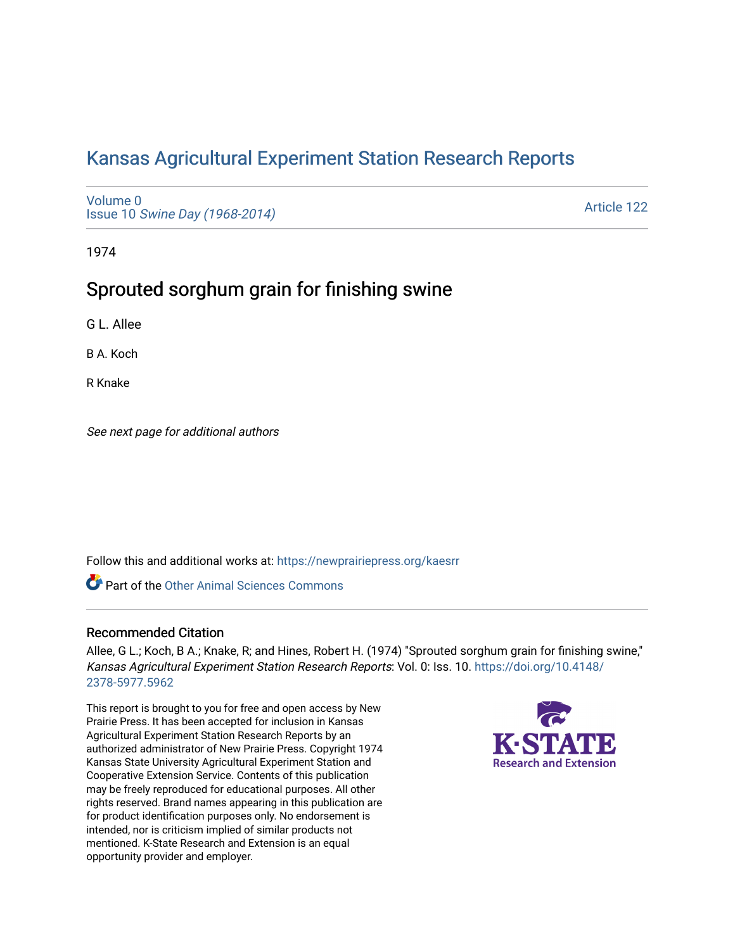# [Kansas Agricultural Experiment Station Research Reports](https://newprairiepress.org/kaesrr)

[Volume 0](https://newprairiepress.org/kaesrr/vol0) Issue 10 [Swine Day \(1968-2014\)](https://newprairiepress.org/kaesrr/vol0/iss10)

[Article 122](https://newprairiepress.org/kaesrr/vol0/iss10/122) 

1974

## Sprouted sorghum grain for finishing swine

G L. Allee

B A. Koch

R Knake

See next page for additional authors

Follow this and additional works at: [https://newprairiepress.org/kaesrr](https://newprairiepress.org/kaesrr?utm_source=newprairiepress.org%2Fkaesrr%2Fvol0%2Fiss10%2F122&utm_medium=PDF&utm_campaign=PDFCoverPages) 

**C** Part of the [Other Animal Sciences Commons](http://network.bepress.com/hgg/discipline/82?utm_source=newprairiepress.org%2Fkaesrr%2Fvol0%2Fiss10%2F122&utm_medium=PDF&utm_campaign=PDFCoverPages)

#### Recommended Citation

Allee, G L.; Koch, B A.; Knake, R; and Hines, Robert H. (1974) "Sprouted sorghum grain for finishing swine," Kansas Agricultural Experiment Station Research Reports: Vol. 0: Iss. 10. [https://doi.org/10.4148/](https://doi.org/10.4148/2378-5977.5962) [2378-5977.5962](https://doi.org/10.4148/2378-5977.5962) 

This report is brought to you for free and open access by New Prairie Press. It has been accepted for inclusion in Kansas Agricultural Experiment Station Research Reports by an authorized administrator of New Prairie Press. Copyright 1974 Kansas State University Agricultural Experiment Station and Cooperative Extension Service. Contents of this publication may be freely reproduced for educational purposes. All other rights reserved. Brand names appearing in this publication are for product identification purposes only. No endorsement is intended, nor is criticism implied of similar products not mentioned. K-State Research and Extension is an equal opportunity provider and employer.

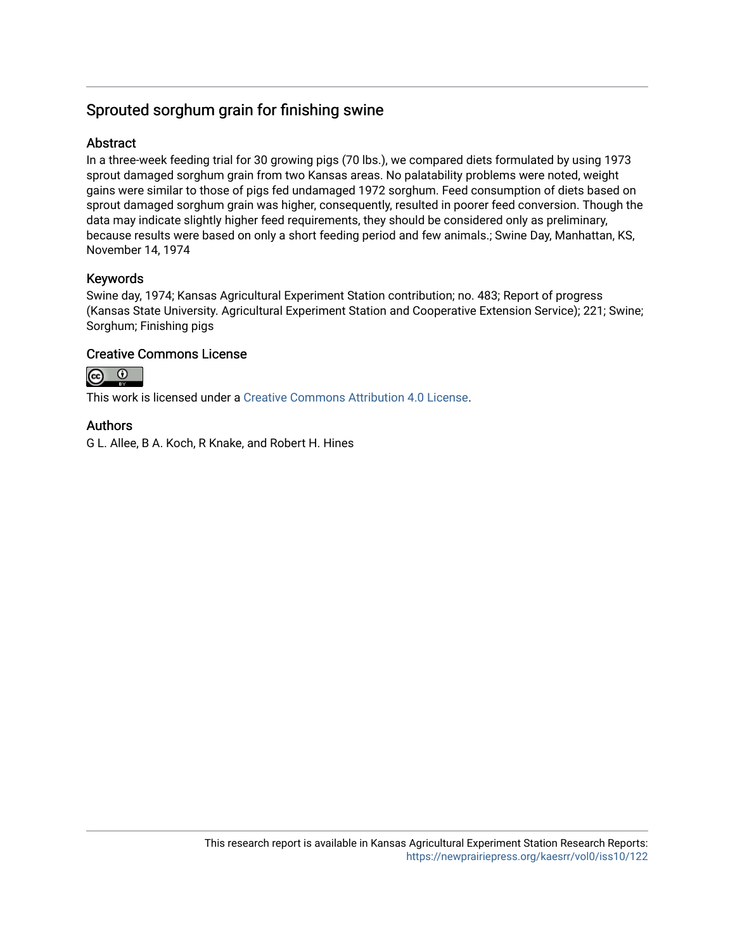## Sprouted sorghum grain for finishing swine

## **Abstract**

In a three-week feeding trial for 30 growing pigs (70 lbs.), we compared diets formulated by using 1973 sprout damaged sorghum grain from two Kansas areas. No palatability problems were noted, weight gains were similar to those of pigs fed undamaged 1972 sorghum. Feed consumption of diets based on sprout damaged sorghum grain was higher, consequently, resulted in poorer feed conversion. Though the data may indicate slightly higher feed requirements, they should be considered only as preliminary, because results were based on only a short feeding period and few animals.; Swine Day, Manhattan, KS, November 14, 1974

## Keywords

Swine day, 1974; Kansas Agricultural Experiment Station contribution; no. 483; Report of progress (Kansas State University. Agricultural Experiment Station and Cooperative Extension Service); 221; Swine; Sorghum; Finishing pigs

## Creative Commons License

 $\odot$  $\odot$ 

This work is licensed under a [Creative Commons Attribution 4.0 License](https://creativecommons.org/licenses/by/4.0/).

## Authors

G L. Allee, B A. Koch, R Knake, and Robert H. Hines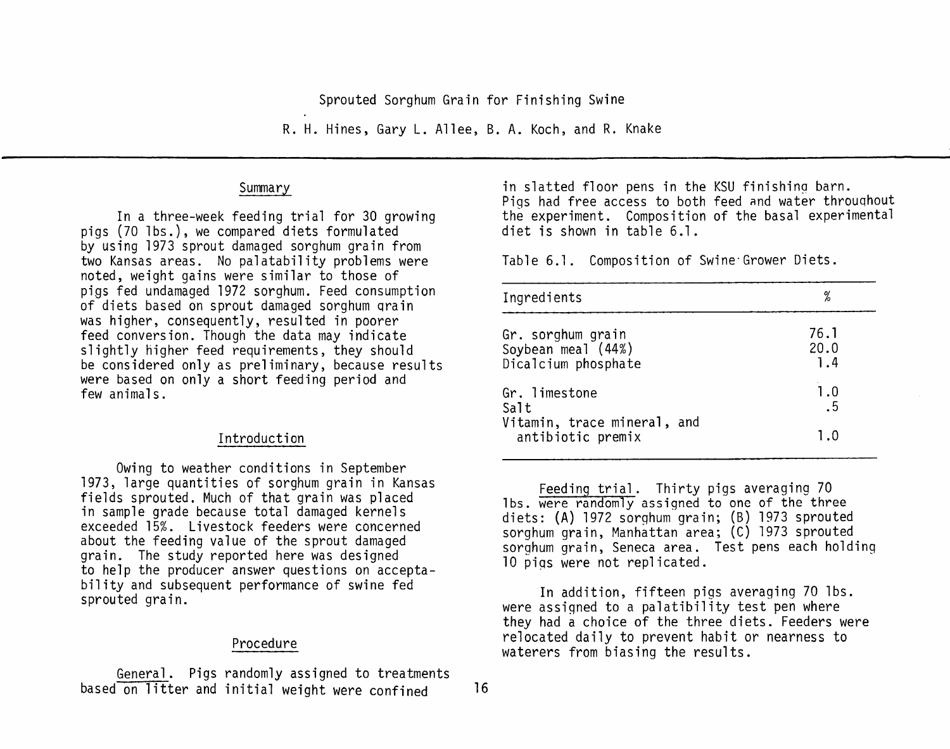Sprouted Sorghum Grain for Finishing Swine

R. H. Hines, Gary L. Allee, B. A. Koch, and R. Knake

#### Summary

In a three-week feeding trial for 30 growing pigs (70 lbs.), we compared diets formulated by using 1973 sprout damaged sorghum grain from two Kansas areas. No palatability problems were noted, weight gains were similar to those of pigs fed undamaged 1972 sorghum. Feed consumption of diets based on sprout damaged sorghum grain was higher, consequently, resulted in poorer feed conversion. Though the data may indicate slightly higher feed requirements, they should be considered only as preliminary, because results were based on only a short feeding period and few animals.

### Introduction

Owing to weather conditions in September 1973, large quantities of sorghum grain in Kansas fields sprouted. Much of that grain was placed in sample grade because total damaged kernels exceeded 15%. Livestock feeders were concerned about the feeding value of the sprout damaged grain. The study reported here was designed to help the producer answer questions on acceptability and subsequent performance of swine fed sprouted grain.

#### Procedure

General. Pigs randomly assigned to treatments based on litter and initial weight were confined

in slatted floor pens in the KSU finishing barn. Pigs had free access to both feed and water throughout the experiment. Composition of the basal experimental diet is shown in table 6.1.

Table 6.1. Composition of Swine Grower Diets.

| Ingredients                                      | %    |
|--------------------------------------------------|------|
| Gr. sorghum grain                                | 76.1 |
| Soybean meal (44%)                               | 20.0 |
| Dicalcium phosphate                              | 1.4  |
| Gr. limestone                                    | 1.0  |
| Salt                                             | .5   |
| Vitamin, trace mineral, and<br>antibiotic premix | ם. ד |

Feeding trial. Thirty pigs averaging 70 lbs. were randomly assigned to one of the three diets: (A) 1972 sorghum grain; (B) 1973 sprouted sorghum grain, Manhattan area; (C) 1973 sprouted sorghum grain, Seneca area. Test pens each holding 10 pigs were not replicated.

In addition, fifteen pigs averaging 70 lbs. were assigned to a palatibility test pen where they had a choice of the three diets. Feeders were relocated daily to prevent habit or nearness to waterers from biasing the results.

 $16$